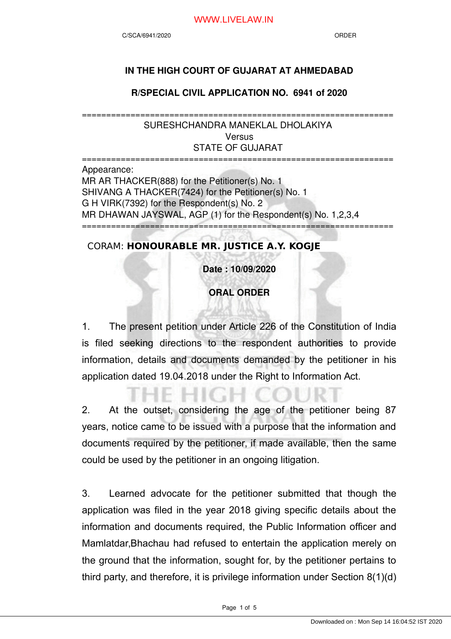## WWW.LIVELAW.IN

## **IN THE HIGH COURT OF GUJARAT AT AHMEDABAD**

**R/SPECIAL CIVIL APPLICATION NO. 6941 of 2020**

================================================================ SURESHCHANDRA MANEKLAL DHOLAKIYA **Versus** STATE OF GUJARAT

================================================================ Appearance: MR AR THACKER(888) for the Petitioner(s) No. 1 SHIVANG A THACKER(7424) for the Petitioner(s) No. 1 G H VIRK(7392) for the Respondent(s) No. 2 MR DHAWAN JAYSWAL, AGP (1) for the Respondent(s) No. 1,2,3,4 ================================================================

# CORAM: **HONOURABLE MR. JUSTICE A.Y. KOGJE**

**Date : 10/09/2020**

**ORAL ORDER**

1. The present petition under Article 226 of the Constitution of India is filed seeking directions to the respondent authorities to provide information, details and documents demanded by the petitioner in his application dated 19.04.2018 under the Right to Information Act.

2. At the outset, considering the age of the petitioner being 87 years, notice came to be issued with a purpose that the information and documents required by the petitioner, if made available, then the same could be used by the petitioner in an ongoing litigation.

3. Learned advocate for the petitioner submitted that though the application was filed in the year 2018 giving specific details about the information and documents required, the Public Information officer and Mamlatdar,Bhachau had refused to entertain the application merely on the ground that the information, sought for, by the petitioner pertains to third party, and therefore, it is privilege information under Section 8(1)(d)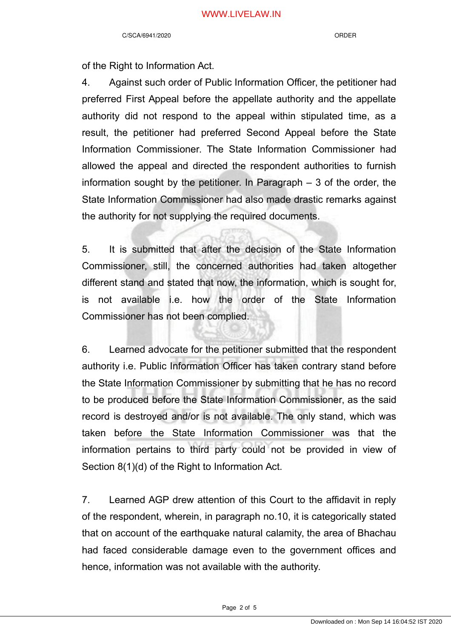of the Right to Information Act.

4. Against such order of Public Information Officer, the petitioner had preferred First Appeal before the appellate authority and the appellate authority did not respond to the appeal within stipulated time, as a result, the petitioner had preferred Second Appeal before the State Information Commissioner. The State Information Commissioner had allowed the appeal and directed the respondent authorities to furnish information sought by the petitioner. In Paragraph – 3 of the order, the State Information Commissioner had also made drastic remarks against the authority for not supplying the required documents.

5. It is submitted that after the decision of the State Information Commissioner, still, the concerned authorities had taken altogether different stand and stated that now, the information, which is sought for, is not available i.e. how the order of the State Information Commissioner has not been complied.

6. Learned advocate for the petitioner submitted that the respondent authority i.e. Public Information Officer has taken contrary stand before the State Information Commissioner by submitting that he has no record to be produced before the State Information Commissioner, as the said record is destroyed and/or is not available. The only stand, which was taken before the State Information Commissioner was that the information pertains to third party could not be provided in view of Section 8(1)(d) of the Right to Information Act.

7. Learned AGP drew attention of this Court to the affidavit in reply of the respondent, wherein, in paragraph no.10, it is categorically stated that on account of the earthquake natural calamity, the area of Bhachau had faced considerable damage even to the government offices and hence, information was not available with the authority.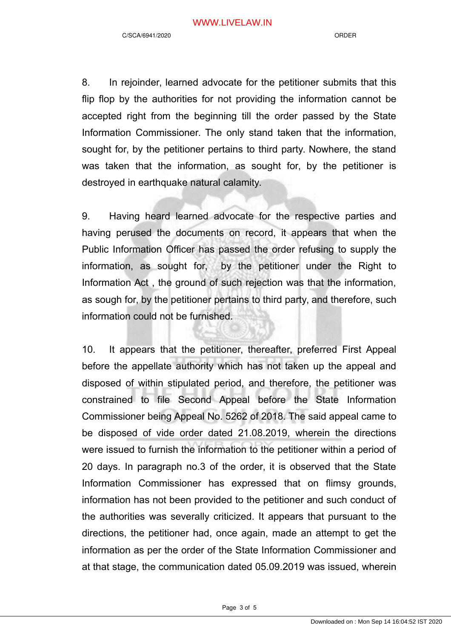8. In rejoinder, learned advocate for the petitioner submits that this flip flop by the authorities for not providing the information cannot be accepted right from the beginning till the order passed by the State Information Commissioner. The only stand taken that the information, sought for, by the petitioner pertains to third party. Nowhere, the stand was taken that the information, as sought for, by the petitioner is destroyed in earthquake natural calamity.

9. Having heard learned advocate for the respective parties and having perused the documents on record, it appears that when the Public Information Officer has passed the order refusing to supply the information, as sought for, by the petitioner under the Right to Information Act , the ground of such rejection was that the information, as sough for, by the petitioner pertains to third party, and therefore, such information could not be furnished.

10. It appears that the petitioner, thereafter, preferred First Appeal before the appellate authority which has not taken up the appeal and disposed of within stipulated period, and therefore, the petitioner was constrained to file Second Appeal before the State Information Commissioner being Appeal No. 5262 of 2018. The said appeal came to be disposed of vide order dated 21.08.2019, wherein the directions were issued to furnish the information to the petitioner within a period of 20 days. In paragraph no.3 of the order, it is observed that the State Information Commissioner has expressed that on flimsy grounds, information has not been provided to the petitioner and such conduct of the authorities was severally criticized. It appears that pursuant to the directions, the petitioner had, once again, made an attempt to get the information as per the order of the State Information Commissioner and at that stage, the communication dated 05.09.2019 was issued, wherein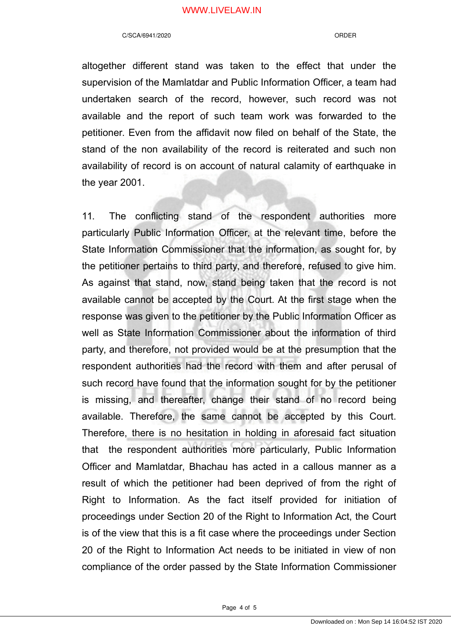## WWW.LIVELAW.IN

#### C/SCA/6941/2020 ORDER

altogether different stand was taken to the effect that under the supervision of the Mamlatdar and Public Information Officer, a team had undertaken search of the record, however, such record was not available and the report of such team work was forwarded to the petitioner. Even from the affidavit now filed on behalf of the State, the stand of the non availability of the record is reiterated and such non availability of record is on account of natural calamity of earthquake in the year 2001.

11. The conflicting stand of the respondent authorities more particularly Public Information Officer, at the relevant time, before the State Information Commissioner that the information, as sought for, by the petitioner pertains to third party, and therefore, refused to give him. As against that stand, now, stand being taken that the record is not available cannot be accepted by the Court. At the first stage when the response was given to the petitioner by the Public Information Officer as well as State Information Commissioner about the information of third party, and therefore, not provided would be at the presumption that the respondent authorities had the record with them and after perusal of such record have found that the information sought for by the petitioner is missing, and thereafter, change their stand of no record being available. Therefore, the same cannot be accepted by this Court. Therefore, there is no hesitation in holding in aforesaid fact situation that the respondent authorities more particularly, Public Information Officer and Mamlatdar, Bhachau has acted in a callous manner as a result of which the petitioner had been deprived of from the right of Right to Information. As the fact itself provided for initiation of proceedings under Section 20 of the Right to Information Act, the Court is of the view that this is a fit case where the proceedings under Section 20 of the Right to Information Act needs to be initiated in view of non compliance of the order passed by the State Information Commissioner